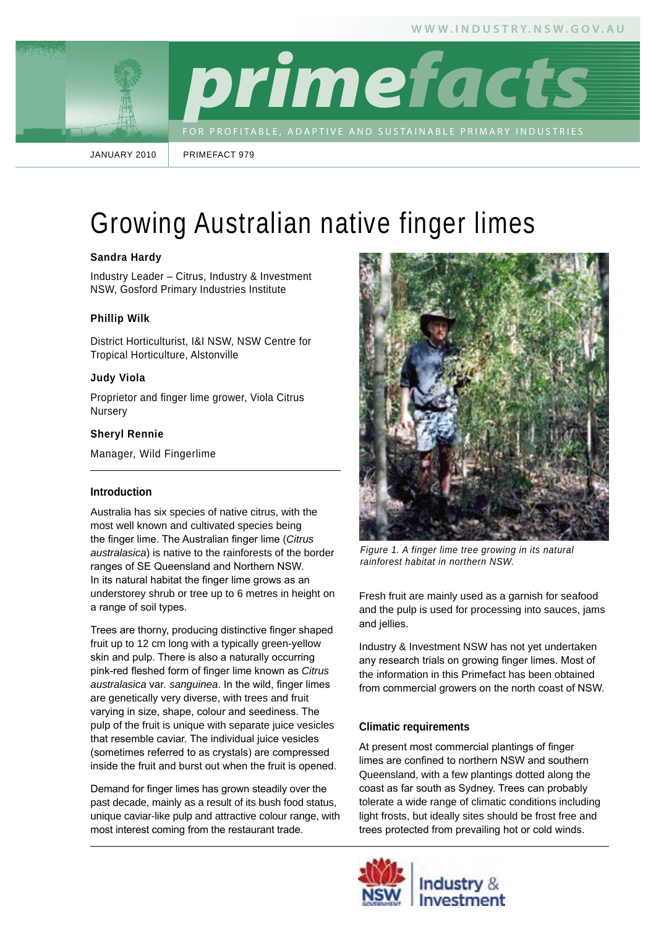

January 2010

PrIMeFACT 979

# Growing Australian native finger limes

# **Sandra Hardy**

Industry Leader – Citrus, Industry & Investment NSW, Gosford Primary Industries Institute

# **Phillip Wilk**

District Horticulturist, I&I NSW, NSW Centre for Tropical Horticulture, Alstonville

#### **Judy Viola**

Proprietor and finger lime grower, Viola Citrus Nursery

#### **Sheryl Rennie**

Manager, Wild Fingerlime

#### **Introduction**

Australia has six species of native citrus, with the most well known and cultivated species being the finger lime. The Australian finger lime (*Citrus australasica*) is native to the rainforests of the border ranges of SE Queensland and Northern NSW. In its natural habitat the finger lime grows as an understorey shrub or tree up to 6 metres in height on a range of soil types.

Trees are thorny, producing distinctive finger shaped fruit up to 12 cm long with a typically green-yellow skin and pulp. There is also a naturally occurring pink-red fleshed form of finger lime known as *Citrus australasica* var*. sanguinea*. In the wild, finger limes are genetically very diverse, with trees and fruit varying in size, shape, colour and seediness. The pulp of the fruit is unique with separate juice vesicles that resemble caviar. The individual juice vesicles (sometimes referred to as crystals) are compressed inside the fruit and burst out when the fruit is opened.

Demand for finger limes has grown steadily over the past decade, mainly as a result of its bush food status, unique caviar-like pulp and attractive colour range, with most interest coming from the restaurant trade.



*Figure 1. A finger lime tree growing in its natural rainforest habitat in northern NSW.*

Fresh fruit are mainly used as a garnish for seafood and the pulp is used for processing into sauces, jams and jellies.

Industry & Investment NSW has not yet undertaken any research trials on growing finger limes. Most of the information in this Primefact has been obtained from commercial growers on the north coast of NSW.

#### **Climatic requirements**

At present most commercial plantings of finger limes are confined to northern NSW and southern Queensland, with a few plantings dotted along the coast as far south as Sydney. Trees can probably tolerate a wide range of climatic conditions including light frosts, but ideally sites should be frost free and trees protected from prevailing hot or cold winds.

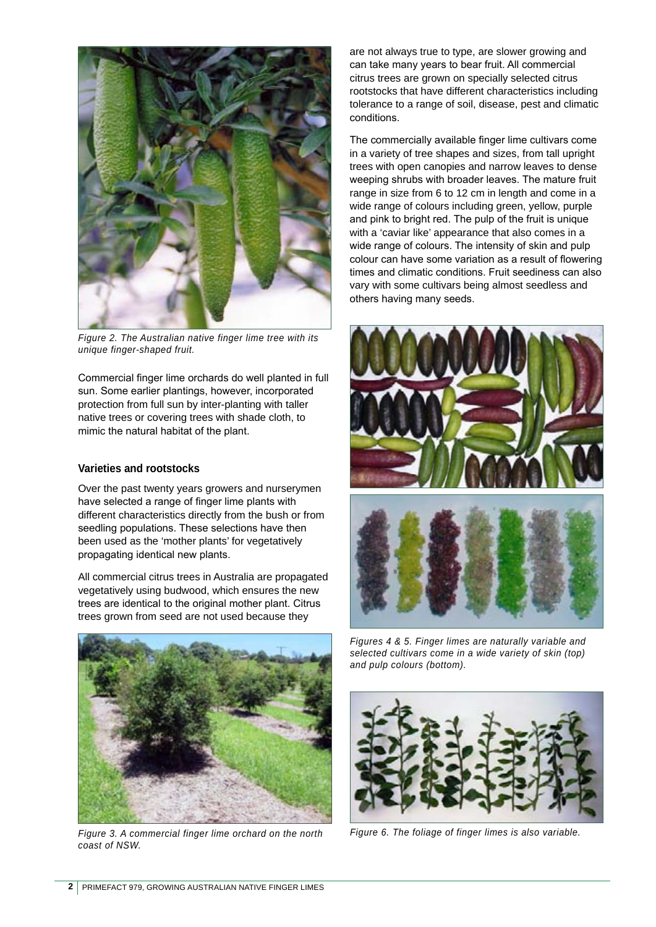

*Figure 2. The Australian native finger lime tree with its unique finger-shaped fruit.*

Commercial finger lime orchards do well planted in full sun. Some earlier plantings, however, incorporated protection from full sun by inter-planting with taller native trees or covering trees with shade cloth, to mimic the natural habitat of the plant.

#### **Varieties and rootstocks**

Over the past twenty years growers and nurserymen have selected a range of finger lime plants with different characteristics directly from the bush or from seedling populations. These selections have then been used as the 'mother plants' for vegetatively propagating identical new plants.

All commercial citrus trees in Australia are propagated vegetatively using budwood, which ensures the new trees are identical to the original mother plant. Citrus trees grown from seed are not used because they



*Figure 3. A commercial finger lime orchard on the north Figure 6. The foliage of finger limes is also variable. coast of NSW.*

are not always true to type, are slower growing and can take many years to bear fruit. All commercial citrus trees are grown on specially selected citrus rootstocks that have different characteristics including tolerance to a range of soil, disease, pest and climatic conditions.

The commercially available finger lime cultivars come in a variety of tree shapes and sizes, from tall upright trees with open canopies and narrow leaves to dense weeping shrubs with broader leaves. The mature fruit range in size from 6 to 12 cm in length and come in a wide range of colours including green, yellow, purple and pink to bright red. The pulp of the fruit is unique with a 'caviar like' appearance that also comes in a wide range of colours. The intensity of skin and pulp colour can have some variation as a result of flowering times and climatic conditions. Fruit seediness can also vary with some cultivars being almost seedless and others having many seeds.



*Figures 4 & 5. Finger limes are naturally variable and selected cultivars come in a wide variety of skin (top) and pulp colours (bottom).*

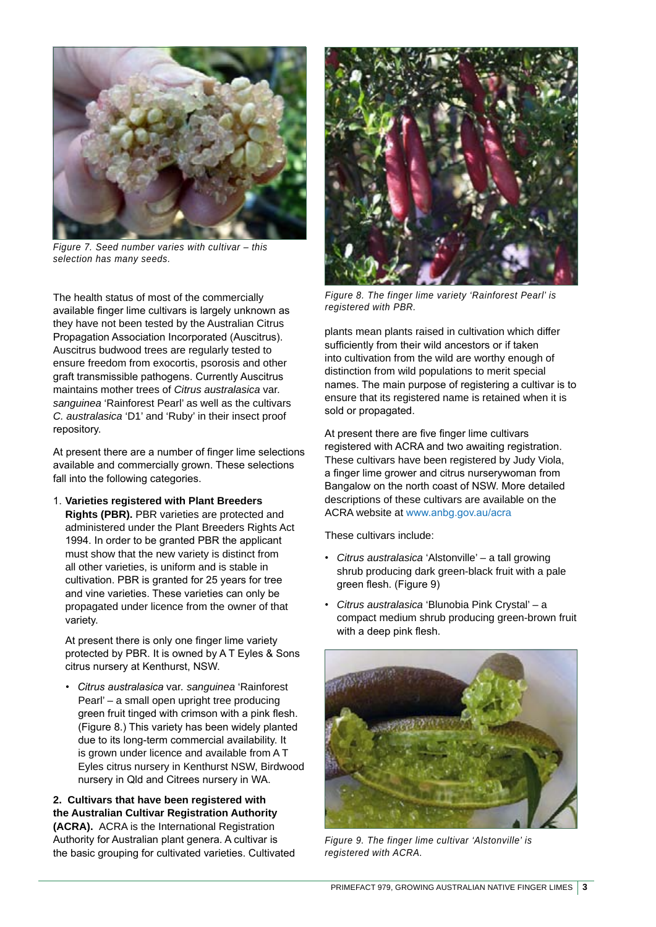

*Figure 7. Seed number varies with cultivar – this selection has many seeds.*

The health status of most of the commercially available finger lime cultivars is largely unknown as they have not been tested by the Australian Citrus Propagation Association Incorporated (Auscitrus). Auscitrus budwood trees are regularly tested to ensure freedom from exocortis, psorosis and other graft transmissible pathogens. Currently Auscitrus maintains mother trees of *Citrus australasica* var*. sanguinea* 'Rainforest Pearl' as well as the cultivars *C. australasica* 'D1' and 'Ruby' in their insect proof repository.

At present there are a number of finger lime selections available and commercially grown. These selections fall into the following categories.

1. **Varieties registered with Plant Breeders Rights (PBR).** PBR varieties are protected and administered under the Plant Breeders Rights Act 1994. In order to be granted PBR the applicant must show that the new variety is distinct from all other varieties, is uniform and is stable in cultivation. PBR is granted for 25 years for tree and vine varieties. These varieties can only be propagated under licence from the owner of that variety.

At present there is only one finger lime variety protected by PBR. It is owned by A T Eyles & Sons citrus nursery at Kenthurst, NSW.

*• Citrus australasica* var*. sanguinea* 'Rainforest Pearl' – a small open upright tree producing green fruit tinged with crimson with a pink flesh. (Figure 8.) This variety has been widely planted due to its long-term commercial availability. It is grown under licence and available from A T Eyles citrus nursery in Kenthurst NSW, Birdwood nursery in Qld and Citrees nursery in WA.

**2. Cultivars that have been registered with the Australian Cultivar Registration Authority (ACRA).** ACRA is the International Registration Authority for Australian plant genera. A cultivar is the basic grouping for cultivated varieties. Cultivated



*Figure 8. The finger lime variety 'Rainforest Pearl' is registered with PBR.*

plants mean plants raised in cultivation which differ sufficiently from their wild ancestors or if taken into cultivation from the wild are worthy enough of distinction from wild populations to merit special names. The main purpose of registering a cultivar is to ensure that its registered name is retained when it is sold or propagated.

At present there are five finger lime cultivars registered with ACRA and two awaiting registration. These cultivars have been registered by Judy Viola, a finger lime grower and citrus nurserywoman from Bangalow on the north coast of NSW. More detailed descriptions of these cultivars are available on the ACRA website at www.anbg.gov.au/acra

These cultivars include:

- *Citrus australasica* 'Alstonville' a tall growing shrub producing dark green-black fruit with a pale green flesh. (Figure 9)
- *Citrus australasica* 'Blunobia Pink Crystal' a compact medium shrub producing green-brown fruit with a deep pink flesh.



*Figure 9. The finger lime cultivar 'Alstonville' is registered with ACRA.*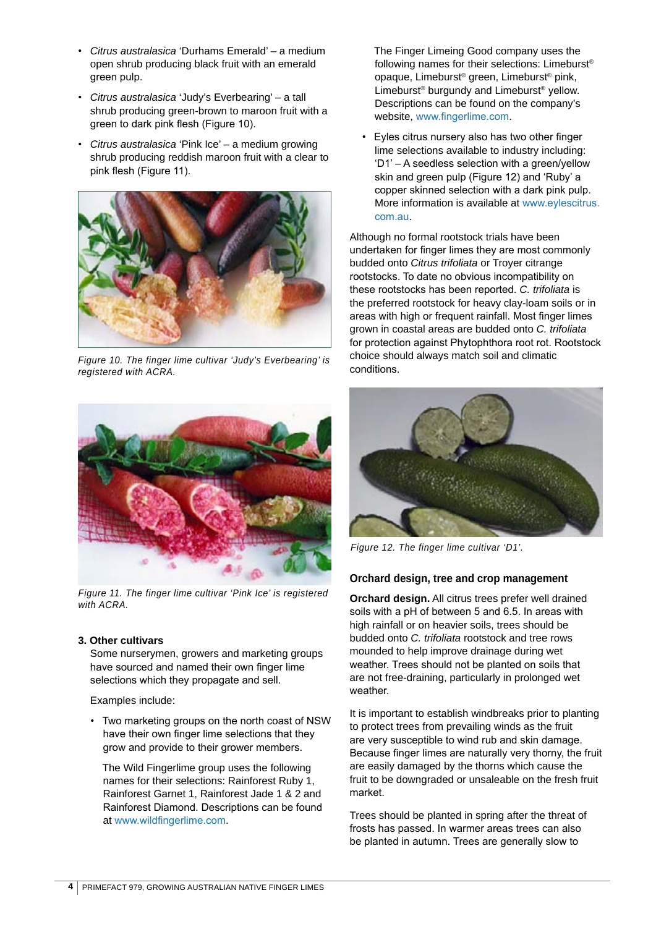- *Citrus australasica* 'Durhams Emerald' a medium open shrub producing black fruit with an emerald green pulp.
- *Citrus australasica* 'Judy's Everbearing' a tall shrub producing green-brown to maroon fruit with a green to dark pink flesh (Figure 10).
- *Citrus australasica* 'Pink Ice' a medium growing shrub producing reddish maroon fruit with a clear to pink flesh (Figure 11).



*Figure 10. The finger lime cultivar 'Judy's Everbearing' is registered with ACRA.*



*Figure 11. The finger lime cultivar 'Pink Ice' is registered with ACRA.*

#### **3. Other cultivars**

Some nurserymen, growers and marketing groups have sourced and named their own finger lime selections which they propagate and sell.

Examples include:

• Two marketing groups on the north coast of NSW have their own finger lime selections that they grow and provide to their grower members.

The Wild Fingerlime group uses the following names for their selections: Rainforest Ruby 1, Rainforest Garnet 1, Rainforest Jade 1 & 2 and Rainforest Diamond. Descriptions can be found at www.wildfingerlime.com.

The Finger Limeing Good company uses the following names for their selections: Limeburst® opaque, Limeburst® green, Limeburst® pink, Limeburst® burgundy and Limeburst® yellow. Descriptions can be found on the company's website, www.fingerlime.com.

• Eyles citrus nursery also has two other finger lime selections available to industry including: 'D1' – A seedless selection with a green/yellow skin and green pulp (Figure 12) and 'Ruby' a copper skinned selection with a dark pink pulp. More information is available at www.eylescitrus. com.au.

Although no formal rootstock trials have been undertaken for finger limes they are most commonly budded onto *Citrus trifoliata* or Troyer citrange rootstocks. To date no obvious incompatibility on these rootstocks has been reported. *C. trifoliata* is the preferred rootstock for heavy clay-loam soils or in areas with high or frequent rainfall. Most finger limes grown in coastal areas are budded onto *C. trifoliata* for protection against Phytophthora root rot. Rootstock choice should always match soil and climatic conditions.



*Figure 12. The finger lime cultivar 'D1'.*

# **Orchard design, tree and crop management**

**Orchard design.** All citrus trees prefer well drained soils with a pH of between 5 and 6.5. In areas with high rainfall or on heavier soils, trees should be budded onto *C. trifoliata* rootstock and tree rows mounded to help improve drainage during wet weather. Trees should not be planted on soils that are not free-draining, particularly in prolonged wet weather.

It is important to establish windbreaks prior to planting to protect trees from prevailing winds as the fruit are very susceptible to wind rub and skin damage. Because finger limes are naturally very thorny, the fruit are easily damaged by the thorns which cause the fruit to be downgraded or unsaleable on the fresh fruit market.

Trees should be planted in spring after the threat of frosts has passed. In warmer areas trees can also be planted in autumn. Trees are generally slow to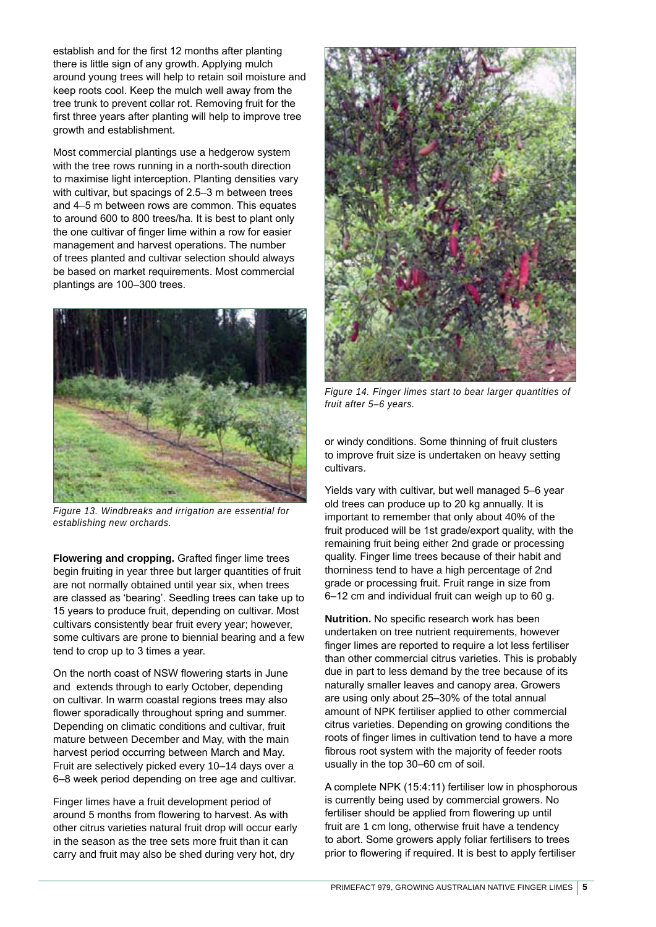establish and for the first 12 months after planting there is little sign of any growth. Applying mulch around young trees will help to retain soil moisture and keep roots cool. Keep the mulch well away from the tree trunk to prevent collar rot. Removing fruit for the first three years after planting will help to improve tree growth and establishment.

Most commercial plantings use a hedgerow system with the tree rows running in a north-south direction to maximise light interception. Planting densities vary with cultivar, but spacings of 2.5–3 m between trees and 4–5 m between rows are common. This equates to around 600 to 800 trees/ha. It is best to plant only the one cultivar of finger lime within a row for easier management and harvest operations. The number of trees planted and cultivar selection should always be based on market requirements. Most commercial plantings are 100–300 trees.



*Figure 13. Windbreaks and irrigation are essential for establishing new orchards.*

**Flowering and cropping.** Grafted finger lime trees begin fruiting in year three but larger quantities of fruit are not normally obtained until year six, when trees are classed as 'bearing'. Seedling trees can take up to 15 years to produce fruit, depending on cultivar. Most cultivars consistently bear fruit every year; however, some cultivars are prone to biennial bearing and a few tend to crop up to 3 times a year.

On the north coast of NSW flowering starts in June and extends through to early October, depending on cultivar. In warm coastal regions trees may also flower sporadically throughout spring and summer. Depending on climatic conditions and cultivar, fruit mature between December and May, with the main harvest period occurring between March and May. Fruit are selectively picked every 10–14 days over a 6–8 week period depending on tree age and cultivar.

Finger limes have a fruit development period of around 5 months from flowering to harvest. As with other citrus varieties natural fruit drop will occur early in the season as the tree sets more fruit than it can carry and fruit may also be shed during very hot, dry



*Figure 14. Finger limes start to bear larger quantities of fruit after 5–6 years.*

or windy conditions. Some thinning of fruit clusters to improve fruit size is undertaken on heavy setting cultivars.

Yields vary with cultivar, but well managed 5–6 year old trees can produce up to 20 kg annually. It is important to remember that only about 40% of the fruit produced will be 1st grade/export quality, with the remaining fruit being either 2nd grade or processing quality. Finger lime trees because of their habit and thorniness tend to have a high percentage of 2nd grade or processing fruit. Fruit range in size from 6–12 cm and individual fruit can weigh up to 60 g.

**Nutrition.** No specific research work has been undertaken on tree nutrient requirements, however finger limes are reported to require a lot less fertiliser than other commercial citrus varieties. This is probably due in part to less demand by the tree because of its naturally smaller leaves and canopy area. Growers are using only about 25–30% of the total annual amount of NPK fertiliser applied to other commercial citrus varieties. Depending on growing conditions the roots of finger limes in cultivation tend to have a more fibrous root system with the majority of feeder roots usually in the top 30–60 cm of soil.

A complete NPK (15:4:11) fertiliser low in phosphorous is currently being used by commercial growers. No fertiliser should be applied from flowering up until fruit are 1 cm long, otherwise fruit have a tendency to abort. Some growers apply foliar fertilisers to trees prior to flowering if required. It is best to apply fertiliser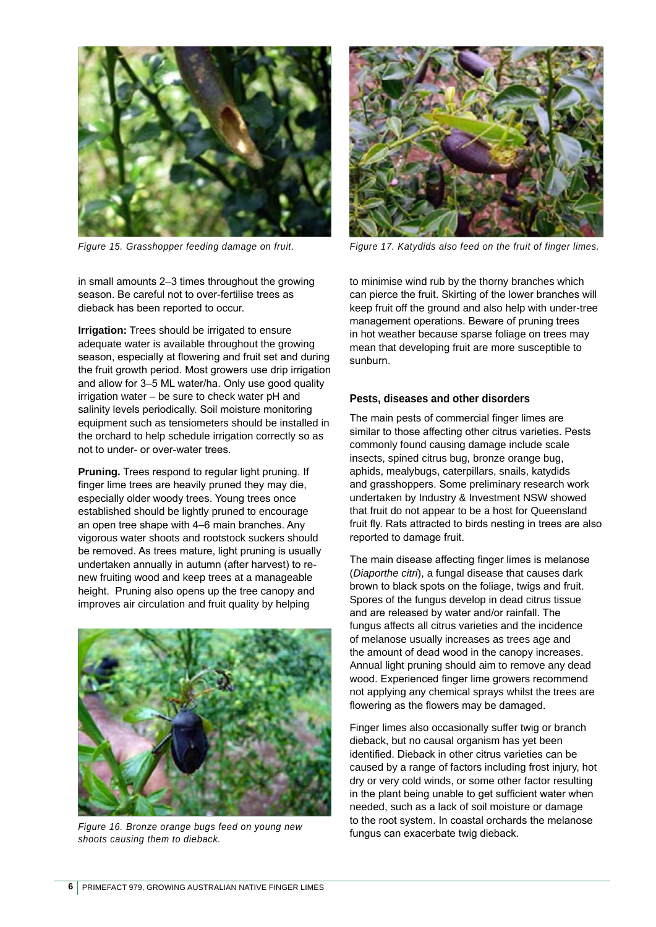

in small amounts 2–3 times throughout the growing season. Be careful not to over-fertilise trees as dieback has been reported to occur.

**Irrigation:** Trees should be irrigated to ensure adequate water is available throughout the growing season, especially at flowering and fruit set and during the fruit growth period. Most growers use drip irrigation and allow for 3–5 ML water/ha. Only use good quality irrigation water – be sure to check water pH and salinity levels periodically. Soil moisture monitoring equipment such as tensiometers should be installed in the orchard to help schedule irrigation correctly so as not to under- or over-water trees.

**Pruning.** Trees respond to regular light pruning. If finger lime trees are heavily pruned they may die, especially older woody trees. Young trees once established should be lightly pruned to encourage an open tree shape with 4–6 main branches. Any vigorous water shoots and rootstock suckers should be removed. As trees mature, light pruning is usually undertaken annually in autumn (after harvest) to renew fruiting wood and keep trees at a manageable height. Pruning also opens up the tree canopy and improves air circulation and fruit quality by helping



Figure 16. Bronze orange bugs feed on young new **Figure 16. Bronze orange bugs feed on young new Figure 16. Bronze orange bugs feed on young new Figure 16. Bronze** fungus can exacerbate twig dieback. *shoots causing them to dieback.*



*Figure 15. Grasshopper feeding damage on fruit. Figure 17. Katydids also feed on the fruit of finger limes.*

to minimise wind rub by the thorny branches which can pierce the fruit. Skirting of the lower branches will keep fruit off the ground and also help with under-tree management operations. Beware of pruning trees in hot weather because sparse foliage on trees may mean that developing fruit are more susceptible to sunburn.

#### **Pests, diseases and other disorders**

The main pests of commercial finger limes are similar to those affecting other citrus varieties. Pests commonly found causing damage include scale insects, spined citrus bug, bronze orange bug, aphids, mealybugs, caterpillars, snails, katydids and grasshoppers. Some preliminary research work undertaken by Industry & Investment NSW showed that fruit do not appear to be a host for Queensland fruit fly. Rats attracted to birds nesting in trees are also reported to damage fruit.

The main disease affecting finger limes is melanose (*Diaporthe citri*), a fungal disease that causes dark brown to black spots on the foliage, twigs and fruit. Spores of the fungus develop in dead citrus tissue and are released by water and/or rainfall. The fungus affects all citrus varieties and the incidence of melanose usually increases as trees age and the amount of dead wood in the canopy increases. Annual light pruning should aim to remove any dead wood. Experienced finger lime growers recommend not applying any chemical sprays whilst the trees are flowering as the flowers may be damaged.

Finger limes also occasionally suffer twig or branch dieback, but no causal organism has yet been identified. Dieback in other citrus varieties can be caused by a range of factors including frost injury, hot dry or very cold winds, or some other factor resulting in the plant being unable to get sufficient water when needed, such as a lack of soil moisture or damage to the root system. In coastal orchards the melanose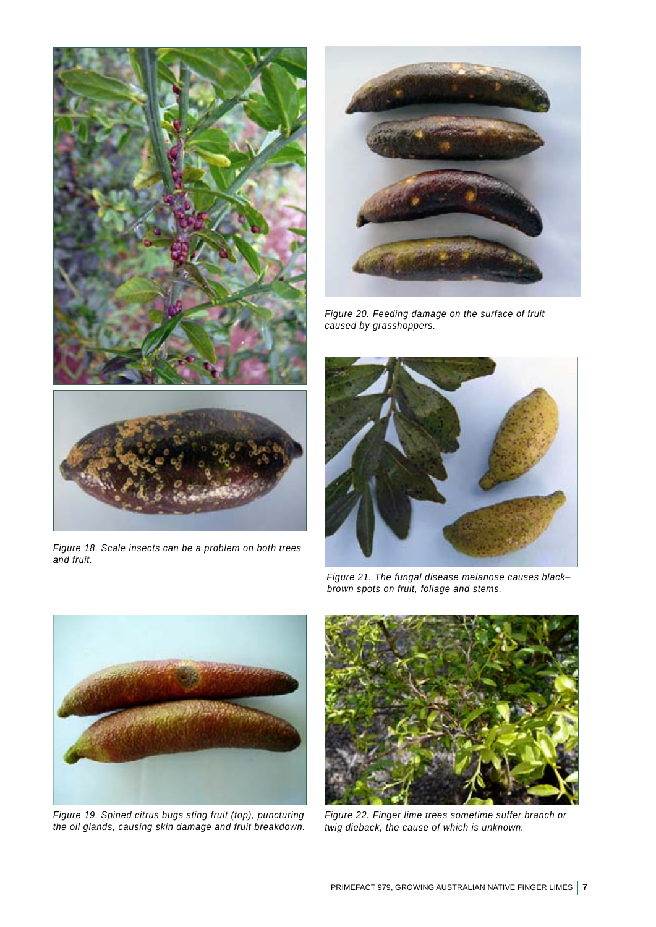



*Figure 20. Feeding damage on the surface of fruit caused by grasshoppers.*



*Figure 18. Scale insects can be a problem on both trees and fruit.*



*Figure 21. The fungal disease melanose causes black– brown spots on fruit, foliage and stems.*



*Figure 19. Spined citrus bugs sting fruit (top), puncturing the oil glands, causing skin damage and fruit breakdown.*



*Figure 22. Finger lime trees sometime suffer branch or twig dieback, the cause of which is unknown.*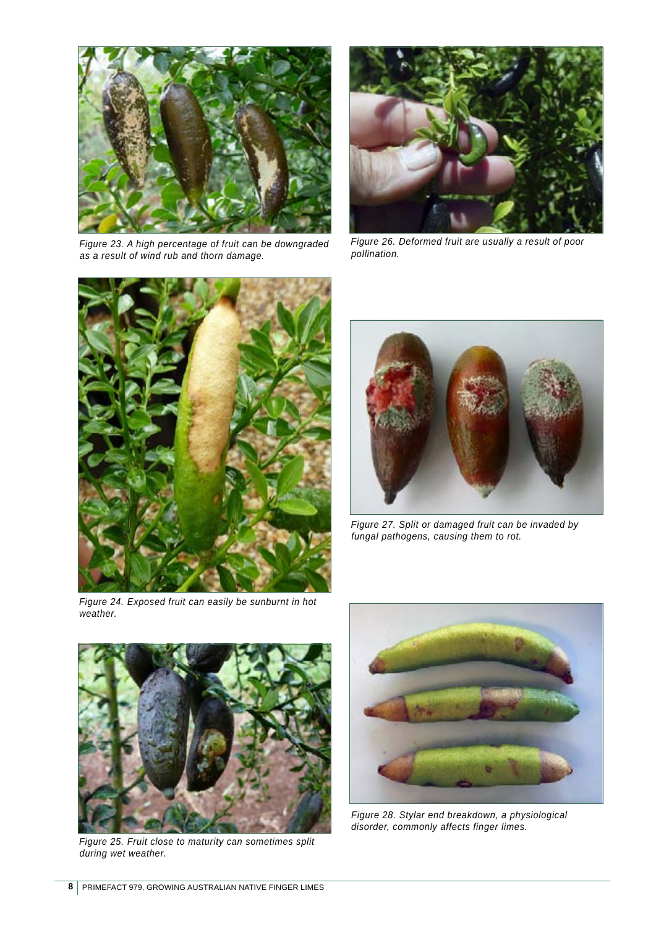

*Figure 23. A high percentage of fruit can be downgraded as a result of wind rub and thorn damage.*



*Figure 26. Deformed fruit are usually a result of poor pollination.*



*Figure 24. Exposed fruit can easily be sunburnt in hot weather.*



*Figure 27. Split or damaged fruit can be invaded by fungal pathogens, causing them to rot.*



*Figure 25. Fruit close to maturity can sometimes split during wet weather.*



*Figure 28. Stylar end breakdown, a physiological disorder, commonly affects finger limes.*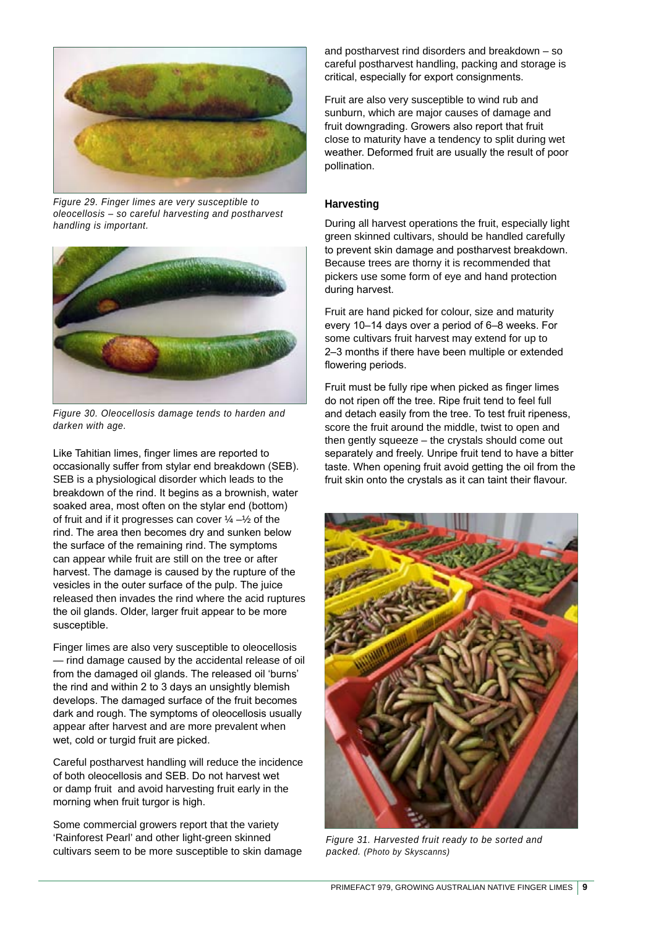

*Figure 29. Finger limes are very susceptible to oleocellosis – so careful harvesting and postharvest handling is important.*



*Figure 30. Oleocellosis damage tends to harden and darken with age.*

Like Tahitian limes, finger limes are reported to occasionally suffer from stylar end breakdown (SEB). SEB is a physiological disorder which leads to the breakdown of the rind. It begins as a brownish, water soaked area, most often on the stylar end (bottom) of fruit and if it progresses can cover  $\frac{1}{4} - \frac{1}{2}$  of the rind. The area then becomes dry and sunken below the surface of the remaining rind. The symptoms can appear while fruit are still on the tree or after harvest. The damage is caused by the rupture of the vesicles in the outer surface of the pulp. The juice released then invades the rind where the acid ruptures the oil glands. Older, larger fruit appear to be more susceptible.

Finger limes are also very susceptible to oleocellosis — rind damage caused by the accidental release of oil from the damaged oil glands. The released oil 'burns' the rind and within 2 to 3 days an unsightly blemish develops. The damaged surface of the fruit becomes dark and rough. The symptoms of oleocellosis usually appear after harvest and are more prevalent when wet, cold or turgid fruit are picked.

Careful postharvest handling will reduce the incidence of both oleocellosis and SEB. Do not harvest wet or damp fruit and avoid harvesting fruit early in the morning when fruit turgor is high.

Some commercial growers report that the variety 'Rainforest Pearl' and other light-green skinned cultivars seem to be more susceptible to skin damage and postharvest rind disorders and breakdown – so careful postharvest handling, packing and storage is critical, especially for export consignments.

Fruit are also very susceptible to wind rub and sunburn, which are major causes of damage and fruit downgrading. Growers also report that fruit close to maturity have a tendency to split during wet weather. Deformed fruit are usually the result of poor pollination.

# **Harvesting**

During all harvest operations the fruit, especially light green skinned cultivars, should be handled carefully to prevent skin damage and postharvest breakdown. Because trees are thorny it is recommended that pickers use some form of eye and hand protection during harvest.

Fruit are hand picked for colour, size and maturity every 10–14 days over a period of 6–8 weeks. For some cultivars fruit harvest may extend for up to 2–3 months if there have been multiple or extended flowering periods.

Fruit must be fully ripe when picked as finger limes do not ripen off the tree. Ripe fruit tend to feel full and detach easily from the tree. To test fruit ripeness, score the fruit around the middle, twist to open and then gently squeeze – the crystals should come out separately and freely. Unripe fruit tend to have a bitter taste. When opening fruit avoid getting the oil from the fruit skin onto the crystals as it can taint their flavour.



*Figure 31. Harvested fruit ready to be sorted and packed. (Photo by Skyscanns)*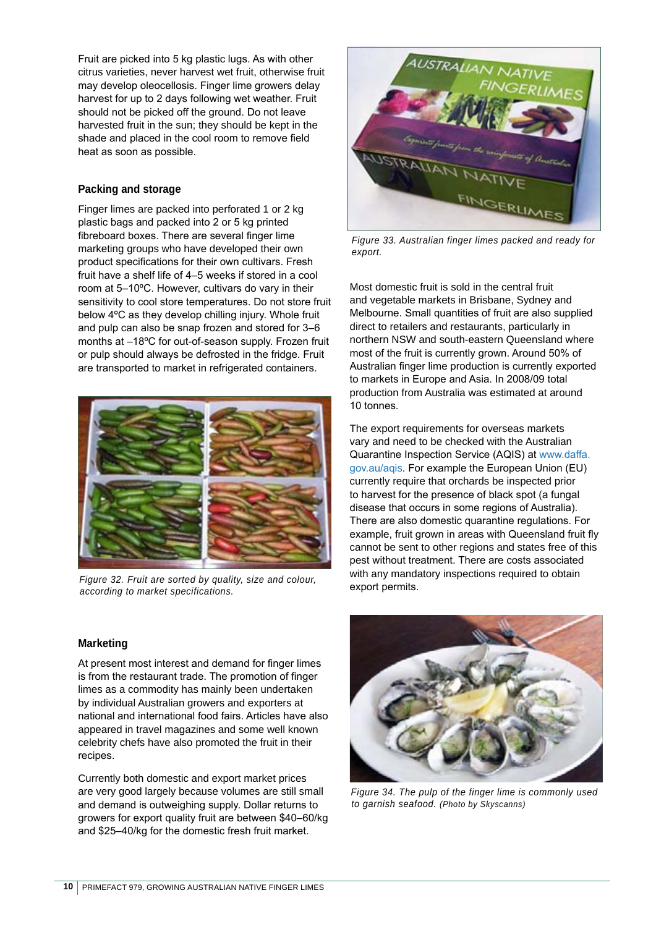Fruit are picked into 5 kg plastic lugs. As with other citrus varieties, never harvest wet fruit, otherwise fruit may develop oleocellosis. Finger lime growers delay harvest for up to 2 days following wet weather. Fruit should not be picked off the ground. Do not leave harvested fruit in the sun; they should be kept in the shade and placed in the cool room to remove field heat as soon as possible.

# **Packing and storage**

Finger limes are packed into perforated 1 or 2 kg plastic bags and packed into 2 or 5 kg printed fibreboard boxes. There are several finger lime marketing groups who have developed their own product specifications for their own cultivars. Fresh fruit have a shelf life of 4–5 weeks if stored in a cool room at 5–10ºC. However, cultivars do vary in their sensitivity to cool store temperatures. Do not store fruit below 4ºC as they develop chilling injury. Whole fruit and pulp can also be snap frozen and stored for 3–6 months at –18ºC for out-of-season supply. Frozen fruit or pulp should always be defrosted in the fridge. Fruit are transported to market in refrigerated containers.



*Figure 32. Fruit are sorted by quality, size and colour, according to market specifications.*

# **Marketing**

At present most interest and demand for finger limes is from the restaurant trade. The promotion of finger limes as a commodity has mainly been undertaken by individual Australian growers and exporters at national and international food fairs. Articles have also appeared in travel magazines and some well known celebrity chefs have also promoted the fruit in their recipes.

Currently both domestic and export market prices are very good largely because volumes are still small and demand is outweighing supply. Dollar returns to growers for export quality fruit are between \$40–60/kg and \$25–40/kg for the domestic fresh fruit market.



*Figure 33. Australian finger limes packed and ready for export.*

Most domestic fruit is sold in the central fruit and vegetable markets in Brisbane, Sydney and Melbourne. Small quantities of fruit are also supplied direct to retailers and restaurants, particularly in northern NSW and south-eastern Queensland where most of the fruit is currently grown. Around 50% of Australian finger lime production is currently exported to markets in Europe and Asia. In 2008/09 total production from Australia was estimated at around 10 tonnes.

The export requirements for overseas markets vary and need to be checked with the Australian Quarantine Inspection Service (AQIS) at www.daffa. gov.au/aqis. For example the European Union (EU) currently require that orchards be inspected prior to harvest for the presence of black spot (a fungal disease that occurs in some regions of Australia). There are also domestic quarantine regulations. For example, fruit grown in areas with Queensland fruit fly cannot be sent to other regions and states free of this pest without treatment. There are costs associated with any mandatory inspections required to obtain export permits.



*Figure 34. The pulp of the finger lime is commonly used to garnish seafood. (Photo by Skyscanns)*